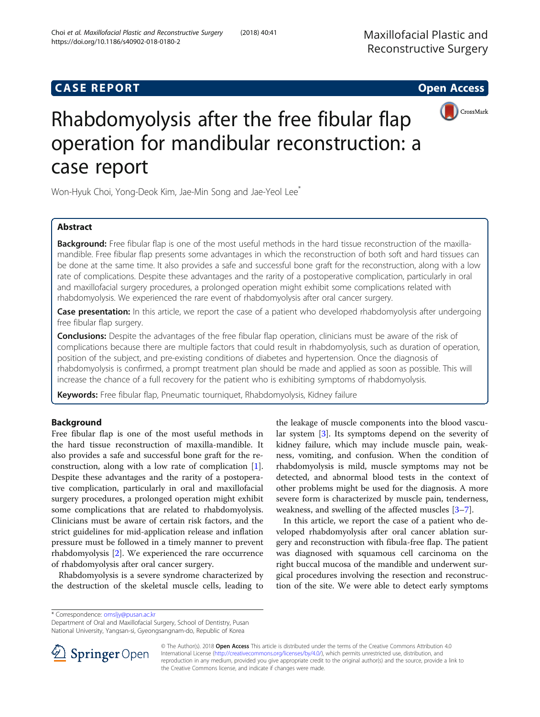## **CASE REPORT CASE REPORT CASE REPORT**





# Rhabdomyolysis after the free fibular flap operation for mandibular reconstruction: a case report

Won-Hyuk Choi, Yong-Deok Kim, Jae-Min Song and Jae-Yeol Lee\*

## Abstract

Background: Free fibular flap is one of the most useful methods in the hard tissue reconstruction of the maxillamandible. Free fibular flap presents some advantages in which the reconstruction of both soft and hard tissues can be done at the same time. It also provides a safe and successful bone graft for the reconstruction, along with a low rate of complications. Despite these advantages and the rarity of a postoperative complication, particularly in oral and maxillofacial surgery procedures, a prolonged operation might exhibit some complications related with rhabdomyolysis. We experienced the rare event of rhabdomyolysis after oral cancer surgery.

Case presentation: In this article, we report the case of a patient who developed rhabdomyolysis after undergoing free fibular flap surgery.

**Conclusions:** Despite the advantages of the free fibular flap operation, clinicians must be aware of the risk of complications because there are multiple factors that could result in rhabdomyolysis, such as duration of operation, position of the subject, and pre-existing conditions of diabetes and hypertension. Once the diagnosis of rhabdomyolysis is confirmed, a prompt treatment plan should be made and applied as soon as possible. This will increase the chance of a full recovery for the patient who is exhibiting symptoms of rhabdomyolysis.

Keywords: Free fibular flap, Pneumatic tourniquet, Rhabdomyolysis, Kidney failure

## Background

Free fibular flap is one of the most useful methods in the hard tissue reconstruction of maxilla-mandible. It also provides a safe and successful bone graft for the reconstruction, along with a low rate of complication [\[1](#page-3-0)]. Despite these advantages and the rarity of a postoperative complication, particularly in oral and maxillofacial surgery procedures, a prolonged operation might exhibit some complications that are related to rhabdomyolysis. Clinicians must be aware of certain risk factors, and the strict guidelines for mid-application release and inflation pressure must be followed in a timely manner to prevent rhabdomyolysis [[2\]](#page-3-0). We experienced the rare occurrence of rhabdomyolysis after oral cancer surgery.

Rhabdomyolysis is a severe syndrome characterized by the destruction of the skeletal muscle cells, leading to

the leakage of muscle components into the blood vascular system [[3\]](#page-3-0). Its symptoms depend on the severity of kidney failure, which may include muscle pain, weakness, vomiting, and confusion. When the condition of rhabdomyolysis is mild, muscle symptoms may not be detected, and abnormal blood tests in the context of other problems might be used for the diagnosis. A more severe form is characterized by muscle pain, tenderness, weakness, and swelling of the affected muscles [[3](#page-3-0)–[7](#page-3-0)].

In this article, we report the case of a patient who developed rhabdomyolysis after oral cancer ablation surgery and reconstruction with fibula-free flap. The patient was diagnosed with squamous cell carcinoma on the right buccal mucosa of the mandible and underwent surgical procedures involving the resection and reconstruction of the site. We were able to detect early symptoms

\* Correspondence: [omsljy@pusan.ac.kr](mailto:omsljy@pusan.ac.kr)

Department of Oral and Maxillofacial Surgery, School of Dentistry, Pusan National University, Yangsan-si, Gyeongsangnam-do, Republic of Korea



© The Author(s). 2018 Open Access This article is distributed under the terms of the Creative Commons Attribution 4.0 International License ([http://creativecommons.org/licenses/by/4.0/\)](http://creativecommons.org/licenses/by/4.0/), which permits unrestricted use, distribution, and reproduction in any medium, provided you give appropriate credit to the original author(s) and the source, provide a link to the Creative Commons license, and indicate if changes were made.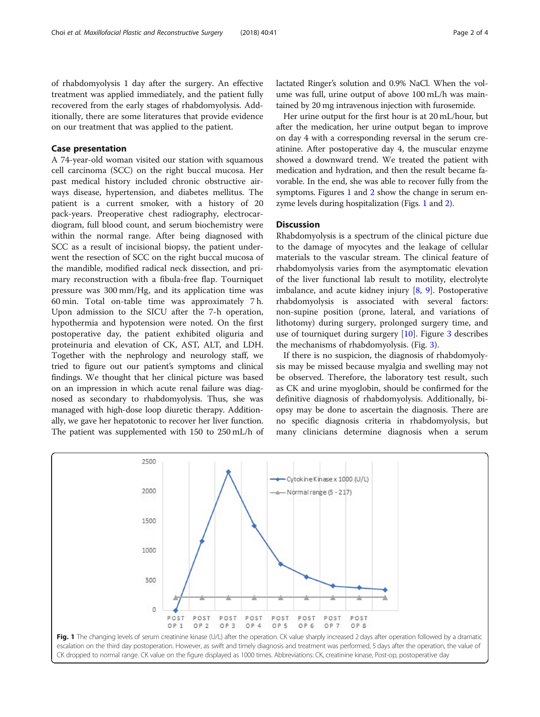of rhabdomyolysis 1 day after the surgery. An effective treatment was applied immediately, and the patient fully recovered from the early stages of rhabdomyolysis. Additionally, there are some literatures that provide evidence on our treatment that was applied to the patient.

## Case presentation

A 74-year-old woman visited our station with squamous cell carcinoma (SCC) on the right buccal mucosa. Her past medical history included chronic obstructive airways disease, hypertension, and diabetes mellitus. The patient is a current smoker, with a history of 20 pack-years. Preoperative chest radiography, electrocardiogram, full blood count, and serum biochemistry were within the normal range. After being diagnosed with SCC as a result of incisional biopsy, the patient underwent the resection of SCC on the right buccal mucosa of the mandible, modified radical neck dissection, and primary reconstruction with a fibula-free flap. Tourniquet pressure was 300 mm/Hg, and its application time was 60 min. Total on-table time was approximately 7 h. Upon admission to the SICU after the 7-h operation, hypothermia and hypotension were noted. On the first postoperative day, the patient exhibited oliguria and proteinuria and elevation of CK, AST, ALT, and LDH. Together with the nephrology and neurology staff, we tried to figure out our patient's symptoms and clinical findings. We thought that her clinical picture was based on an impression in which acute renal failure was diagnosed as secondary to rhabdomyolysis. Thus, she was managed with high-dose loop diuretic therapy. Additionally, we gave her hepatotonic to recover her liver function. The patient was supplemented with 150 to 250 mL/h of

lactated Ringer's solution and 0.9% NaCl. When the volume was full, urine output of above 100 mL/h was maintained by 20 mg intravenous injection with furosemide.

Her urine output for the first hour is at 20 mL/hour, but after the medication, her urine output began to improve on day 4 with a corresponding reversal in the serum creatinine. After postoperative day 4, the muscular enzyme showed a downward trend. We treated the patient with medication and hydration, and then the result became favorable. In the end, she was able to recover fully from the symptoms. Figures 1 and [2](#page-2-0) show the change in serum enzyme levels during hospitalization (Figs. 1 and [2\)](#page-2-0).

#### **Discussion**

Rhabdomyolysis is a spectrum of the clinical picture due to the damage of myocytes and the leakage of cellular materials to the vascular stream. The clinical feature of rhabdomyolysis varies from the asymptomatic elevation of the liver functional lab result to motility, electrolyte imbalance, and acute kidney injury  $[8, 9]$  $[8, 9]$  $[8, 9]$  $[8, 9]$ . Postoperative rhabdomyolysis is associated with several factors: non-supine position (prone, lateral, and variations of lithotomy) during surgery, prolonged surgery time, and use of tourniquet during surgery  $[10]$  $[10]$ . Figure [3](#page-2-0) describes the mechanisms of rhabdomyolysis. (Fig. [3](#page-2-0)).

If there is no suspicion, the diagnosis of rhabdomyolysis may be missed because myalgia and swelling may not be observed. Therefore, the laboratory test result, such as CK and urine myoglobin, should be confirmed for the definitive diagnosis of rhabdomyolysis. Additionally, biopsy may be done to ascertain the diagnosis. There are no specific diagnosis criteria in rhabdomyolysis, but many clinicians determine diagnosis when a serum



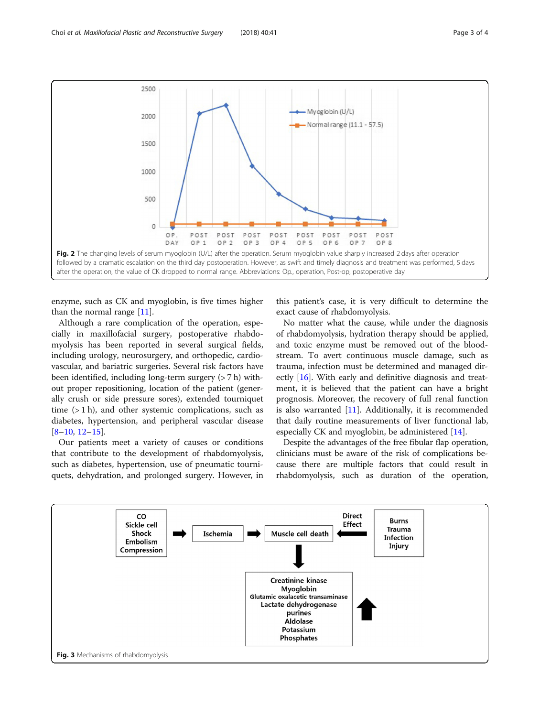<span id="page-2-0"></span>

enzyme, such as CK and myoglobin, is five times higher than the normal range [[11\]](#page-3-0).

Although a rare complication of the operation, especially in maxillofacial surgery, postoperative rhabdomyolysis has been reported in several surgical fields, including urology, neurosurgery, and orthopedic, cardiovascular, and bariatric surgeries. Several risk factors have been identified, including long-term surgery (> 7 h) without proper repositioning, location of the patient (generally crush or side pressure sores), extended tourniquet time  $(1 h)$ , and other systemic complications, such as diabetes, hypertension, and peripheral vascular disease [[8](#page-3-0)–[10,](#page-3-0) [12](#page-3-0)–[15](#page-3-0)].

Our patients meet a variety of causes or conditions that contribute to the development of rhabdomyolysis, such as diabetes, hypertension, use of pneumatic tourniquets, dehydration, and prolonged surgery. However, in this patient's case, it is very difficult to determine the exact cause of rhabdomyolysis.

No matter what the cause, while under the diagnosis of rhabdomyolysis, hydration therapy should be applied, and toxic enzyme must be removed out of the bloodstream. To avert continuous muscle damage, such as trauma, infection must be determined and managed directly [[16](#page-3-0)]. With early and definitive diagnosis and treatment, it is believed that the patient can have a bright prognosis. Moreover, the recovery of full renal function is also warranted [[11\]](#page-3-0). Additionally, it is recommended that daily routine measurements of liver functional lab, especially CK and myoglobin, be administered [\[14](#page-3-0)].

Despite the advantages of the free fibular flap operation, clinicians must be aware of the risk of complications because there are multiple factors that could result in rhabdomyolysis, such as duration of the operation,